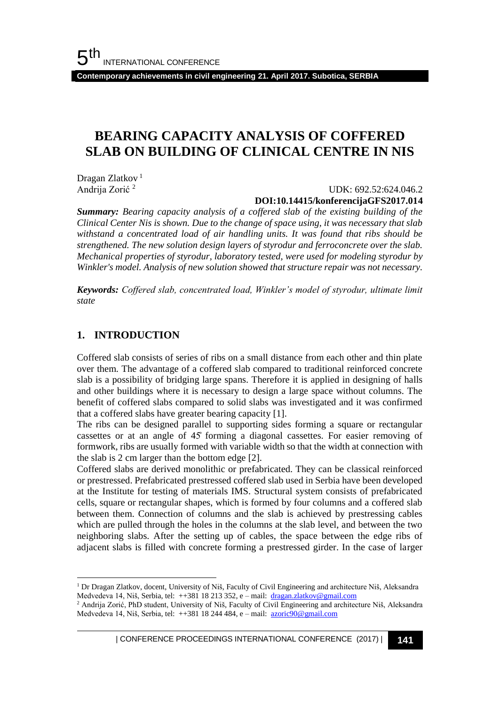**Contemporary achievements in civil engineering 21. April 2017. Subotica, SERBIA**

## **BEARING CAPACITY ANALYSIS OF COFFERED SLAB ON BUILDING OF CLINICAL CENTRE IN NIS**

Dragan Zlatkov<sup>1</sup> Andrija Zorić <sup>2</sup>

#### UDK: 692.52:624.046.2 **DOI:10.14415/konferencijaGFS2017.014**

*Summary: Bearing capacity analysis of a coffered slab of the existing building of the Clinical Center Nis is shown. Due to the change of space using, it was necessary that slab withstand a concentrated load of air handling units. It was found that ribs should be strengthened. The new solution design layers of styrodur and ferroconcrete over the slab. Mechanical properties of styrodur, laboratory tested, were used for modeling styrodur by Winkler's model. Analysis of new solution showed that structure repair was not necessary.*

*Keywords: Coffered slab, concentrated load, Winkler's model of styrodur, ultimate limit state*

#### **1. INTRODUCTION**

l

Coffered slab consists of series of ribs on a small distance from each other and thin plate over them. The advantage of a coffered slab compared to traditional reinforced concrete slab is a possibility of bridging large spans. Therefore it is applied in designing of halls and other buildings where it is necessary to design a large space without columns. The benefit of coffered slabs compared to solid slabs was investigated and it was confirmed that a coffered slabs have greater bearing capacity [1].

The ribs can be designed parallel to supporting sides forming a square or rectangular cassettes or at an angle of 45̊ forming a diagonal cassettes. For easier removing of formwork, ribs are usually formed with variable width so that the width at connection with the slab is 2 cm larger than the bottom edge [2].

Coffered slabs are derived monolithic or prefabricated. They can be classical reinforced or prestressed. Prefabricated prestressed coffered slab used in Serbia have been developed at the Institute for testing of materials IMS. Structural system consists of prefabricated cells, square or rectangular shapes, which is formed by four columns and a coffered slab between them. Connection of columns and the slab is achieved by prestressing cables which are pulled through the holes in the columns at the slab level, and between the two neighboring slabs. After the setting up of cables, the space between the edge ribs of adjacent slabs is filled with concrete forming a prestressed girder. In the case of larger

| CONFERENCE PROCEEDINGS INTERNATIONAL CONFERENCE (2017) <sup>|</sup>**141**

<sup>1</sup> Dr Dragan Zlatkov, docent, University of Niš, Faculty of Civil Engineering and architecture Niš, Aleksandra Medvedeva 14, Niš, Serbia, tel: ++381 18 213 352, e – mail: [dragan.zlatkov@gmail.com](mailto:dragan.zlatkov@gmail.com)

<sup>2</sup> Andrija Zorić, PhD student, University of Niš, Faculty of Civil Engineering and architecture Niš, Aleksandra Medvedeva 14, Niš, Serbia, tel: ++381 18 244 484, e – mail: [azoric90@gmail.com](mailto:azoric90@gmail.com)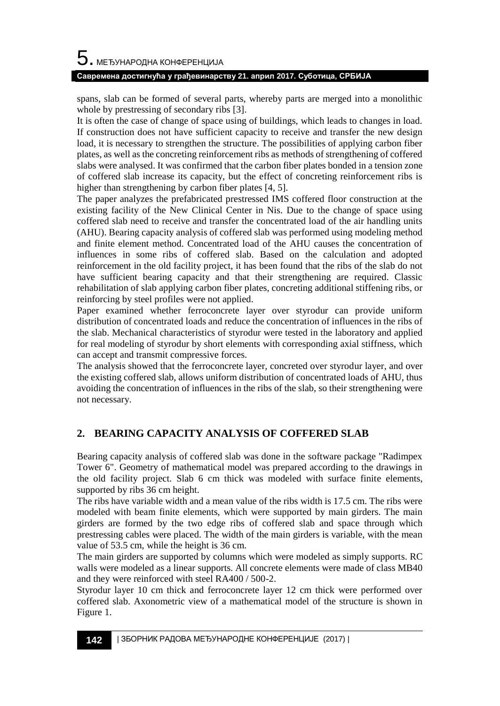# $\mathbf 5$ . међународна конференција

#### **Савремена достигнућа у грађевинарству 21. април 2017. Суботица, СРБИЈА**

spans, slab can be formed of several parts, whereby parts are merged into a monolithic whole by prestressing of secondary ribs [3].

It is often the case of change of space using of buildings, which leads to changes in load. If construction does not have sufficient capacity to receive and transfer the new design load, it is necessary to strengthen the structure. The possibilities of applying carbon fiber plates, as well as the concreting reinforcement ribs as methods of strengthening of coffered slabs were analysed. It was confirmed that the carbon fiber plates bonded in a tension zone of coffered slab increase its capacity, but the effect of concreting reinforcement ribs is higher than strengthening by carbon fiber plates [4, 5].

The paper analyzes the prefabricated prestressed IMS coffered floor construction at the existing facility of the New Clinical Center in Nis. Due to the change of space using coffered slab need to receive and transfer the concentrated load of the air handling units (AHU). Bearing capacity analysis of coffered slab was performed using modeling method and finite element method. Concentrated load of the AHU causes the concentration of influences in some ribs of coffered slab. Based on the calculation and adopted reinforcement in the old facility project, it has been found that the ribs of the slab do not have sufficient bearing capacity and that their strengthening are required. Classic rehabilitation of slab applying carbon fiber plates, concreting additional stiffening ribs, or reinforcing by steel profiles were not applied.

Paper examined whether ferroconcrete layer over styrodur can provide uniform distribution of concentrated loads and reduce the concentration of influences in the ribs of the slab. Mechanical characteristics of styrodur were tested in the laboratory and applied for real modeling of styrodur by short elements with corresponding axial stiffness, which can accept and transmit compressive forces.

The analysis showed that the ferroconcrete layer, concreted over styrodur layer, and over the existing coffered slab, allows uniform distribution of concentrated loads of AHU, thus avoiding the concentration of influences in the ribs of the slab, so their strengthening were not necessary.

### **2. BEARING CAPACITY ANALYSIS OF COFFERED SLAB**

Bearing capacity analysis of coffered slab was done in the software package "Radimpex Tower 6". Geometry of mathematical model was prepared according to the drawings in the old facility project. Slab 6 cm thick was modeled with surface finite elements, supported by ribs 36 cm height.

The ribs have variable width and a mean value of the ribs width is 17.5 cm. The ribs were modeled with beam finite elements, which were supported by main girders. The main girders are formed by the two edge ribs of coffered slab and space through which prestressing cables were placed. The width of the main girders is variable, with the mean value of 53.5 cm, while the height is 36 cm.

The main girders are supported by columns which were modeled as simply supports. RC walls were modeled as a linear supports. All concrete elements were made of class MB40 and they were reinforced with steel RA400 / 500-2.

Styrodur layer 10 cm thick and ferroconcrete layer 12 cm thick were performed over coffered slab. Axonometric view of a mathematical model of the structure is shown in Figure 1.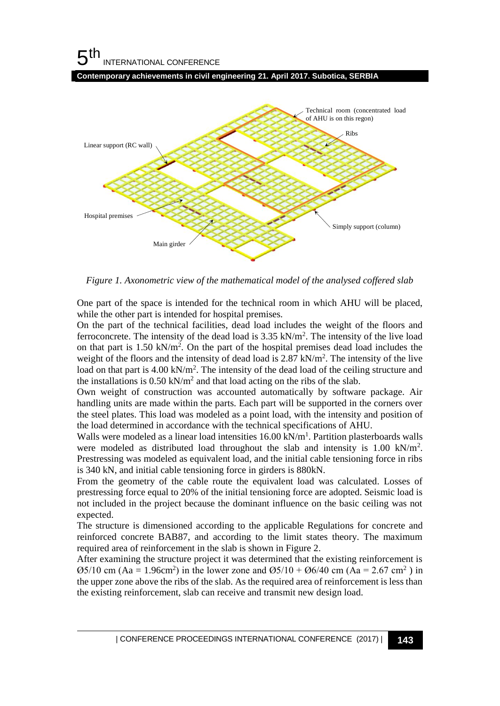#### 5 th INTERNATIONAL CONFERENCE





*Figure 1. Axonometric view of the mathematical model of the analysed coffered slab*

One part of the space is intended for the technical room in which AHU will be placed, while the other part is intended for hospital premises.

On the part of the technical facilities, dead load includes the weight of the floors and ferroconcrete. The intensity of the dead load is  $3.35 \text{ kN/m}^2$ . The intensity of the live load on that part is 1.50 kN/m<sup>2</sup>. On the part of the hospital premises dead load includes the weight of the floors and the intensity of dead load is 2.87 kN/m<sup>2</sup>. The intensity of the live load on that part is 4.00 kN/m<sup>2</sup>. The intensity of the dead load of the ceiling structure and the installations is  $0.50 \text{ kN/m}^2$  and that load acting on the ribs of the slab.

Own weight of construction was accounted automatically by software package. Air handling units are made within the parts. Each part will be supported in the corners over the steel plates. This load was modeled as a point load, with the intensity and position of the load determined in accordance with the technical specifications of AHU.

Walls were modeled as a linear load intensities 16.00 kN/m<sup>1</sup>. Partition plasterboards walls were modeled as distributed load throughout the slab and intensity is 1.00 kN/m<sup>2</sup>. Prestressing was modeled as equivalent load, and the initial cable tensioning force in ribs is 340 kN, and initial cable tensioning force in girders is 880kN.

From the geometry of the cable route the equivalent load was calculated. Losses of prestressing force equal to 20% of the initial tensioning force are adopted. Seismic load is not included in the project because the dominant influence on the basic ceiling was not expected.

The structure is dimensioned according to the applicable Regulations for concrete and reinforced concrete BAB87, and according to the limit states theory. The maximum required area of reinforcement in the slab is shown in Figure 2.

After examining the structure project it was determined that the existing reinforcement is  $\varnothing$ 5/10 cm (Aa = 1.96cm<sup>2</sup>) in the lower zone and  $\varnothing$ 5/10 +  $\varnothing$ 6/40 cm (Aa = 2.67 cm<sup>2</sup>) in the upper zone above the ribs of the slab. As the required area of reinforcement is less than the existing reinforcement, slab can receive and transmit new design load.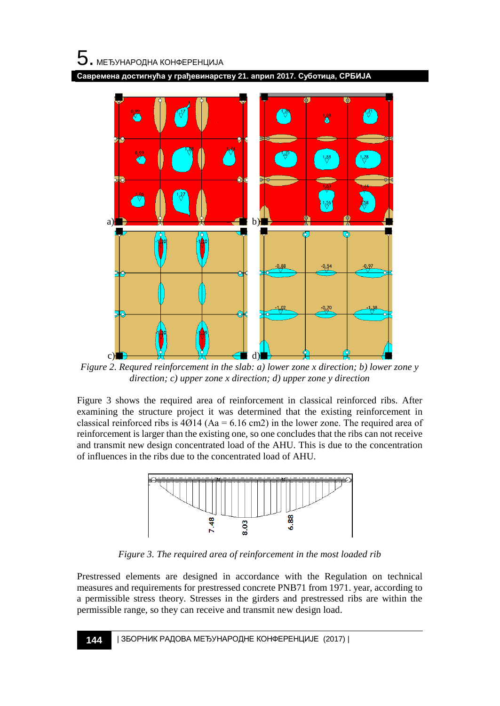**Савремена достигнућа у грађевинарству 21. април 2017. Суботица, СРБИЈА**



*Figure 2. Requred reinforcement in the slab: a) lower zone x direction; b) lower zone y direction; c) upper zone x direction; d) upper zone y direction*

Figure 3 shows the required area of reinforcement in classical reinforced ribs. After examining the structure project it was determined that the existing reinforcement in classical reinforced ribs is  $4014$  (Aa = 6.16 cm2) in the lower zone. The required area of reinforcement is larger than the existing one, so one concludes that the ribs can not receive and transmit new design concentrated load of the AHU. This is due to the concentration of influences in the ribs due to the concentrated load of AHU.



*Figure 3. The required area of reinforcement in the most loaded rib*

Prestressed elements are designed in accordance with the Regulation on technical measures and requirements for prestressed concrete PNB71 from 1971. year, according to a permissible stress theory. Stresses in the girders and prestressed ribs are within the permissible range, so they can receive and transmit new design load.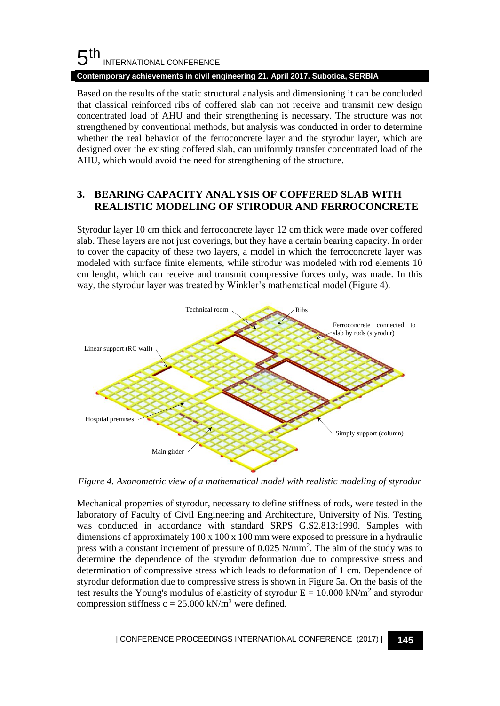#### 5 th INTERNATIONAL CONFERENCE

#### **Contemporary achievements in civil engineering 21. April 2017. Subotica, SERBIA**

Based on the results of the static structural analysis and dimensioning it can be concluded that classical reinforced ribs of coffered slab can not receive and transmit new design concentrated load of AHU and their strengthening is necessary. The structure was not strengthened by conventional methods, but analysis was conducted in order to determine whether the real behavior of the ferroconcrete layer and the styrodur layer, which are designed over the existing coffered slab, can uniformly transfer concentrated load of the AHU, which would avoid the need for strengthening of the structure.

#### **3. BEARING CAPACITY ANALYSIS OF COFFERED SLAB WITH REALISTIC MODELING OF STIRODUR AND FERROCONCRETE**

Styrodur layer 10 cm thick and ferroconcrete layer 12 cm thick were made over coffered slab. These layers are not just coverings, but they have a certain bearing capacity. In order to cover the capacity of these two layers, a model in which the ferroconcrete layer was modeled with surface finite elements, while stirodur was modeled with rod elements 10 cm lenght, which can receive and transmit compressive forces only, was made. In this way, the styrodur layer was treated by Winkler's mathematical model (Figure 4).



*Figure 4. Axonometric view of a mathematical model with realistic modeling of styrodur*

Mechanical properties of styrodur, necessary to define stiffness of rods, were tested in the laboratory of Faculty of Civil Engineering and Architecture, University of Nis. Testing was conducted in accordance with standard SRPS G.S2.813:1990. Samples with dimensions of approximately 100 x 100 x 100 mm were exposed to pressure in a hydraulic press with a constant increment of pressure of 0.025 N/mm<sup>2</sup> . The aim of the study was to determine the dependence of the styrodur deformation due to compressive stress and determination of compressive stress which leads to deformation of 1 cm. Dependence of styrodur deformation due to compressive stress is shown in Figure 5a. On the basis of the test results the Young's modulus of elasticity of styrodur  $E = 10.000 \text{ kN/m}^2$  and styrodur compression stiffness  $c = 25.000 \text{ kN/m}^3$  were defined.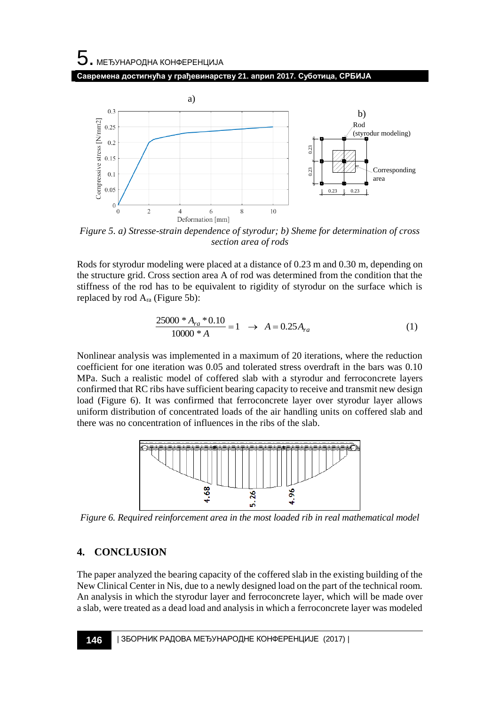# 5. МЕЂУНАРОДНА КОНФЕРЕНЦИЈА **Савремена достигнућа у грађевинарству 21. април 2017. Суботица, СРБИЈА**



*Figure 5. a) Stresse-strain dependence of styrodur; b) Sheme for determination of cross section area of rods*

Rods for styrodur modeling were placed at a distance of 0.23 m and 0.30 m, depending on the structure grid. Cross section area A of rod was determined from the condition that the stiffness of the rod has to be equivalent to rigidity of styrodur on the surface which is replaced by rod  $A_{ra}$  (Figure 5b):

$$
\frac{25000 \cdot A_{ra} \cdot 0.10}{10000 \cdot A} = 1 \rightarrow A = 0.25 A_{ra}
$$
 (1)

Nonlinear analysis was implemented in a maximum of 20 iterations, where the reduction coefficient for one iteration was 0.05 and tolerated stress overdraft in the bars was 0.10 MPa. Such a realistic model of coffered slab with a styrodur and ferroconcrete layers confirmed that RC ribs have sufficient bearing capacity to receive and transmit new design load (Figure 6). It was confirmed that ferroconcrete layer over styrodur layer allows uniform distribution of concentrated loads of the air handling units on coffered slab and there was no concentration of influences in the ribs of the slab.



*Figure 6. Required reinforcement area in the most loaded rib in real mathematical model*

### **4. CONCLUSION**

The paper analyzed the bearing capacity of the coffered slab in the existing building of the New Clinical Center in Nis, due to a newly designed load on the part of the technical room. An analysis in which the styrodur layer and ferroconcrete layer, which will be made over a slab, were treated as a dead load and analysis in which a ferroconcrete layer was modeled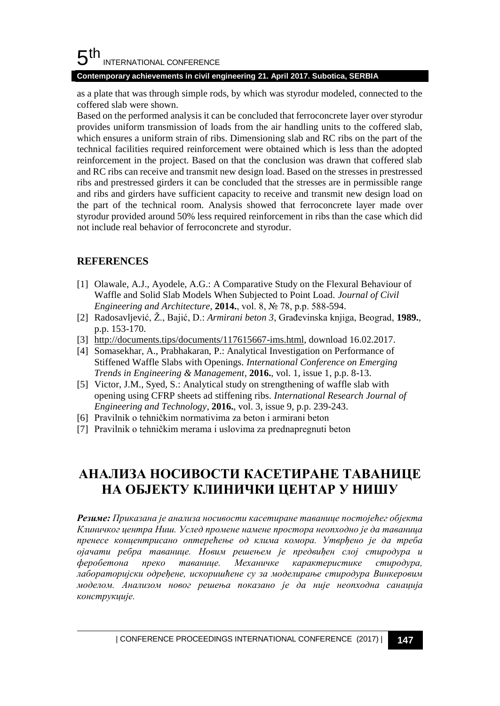#### 5 th INTERNATIONAL CONFERENCE

**Contemporary achievements in civil engineering 21. April 2017. Subotica, SERBIA**

as a plate that was through simple rods, by which was styrodur modeled, connected to the coffered slab were shown.

Based on the performed analysis it can be concluded that ferroconcrete layer over styrodur provides uniform transmission of loads from the air handling units to the coffered slab, which ensures a uniform strain of ribs. Dimensioning slab and RC ribs on the part of the technical facilities required reinforcement were obtained which is less than the adopted reinforcement in the project. Based on that the conclusion was drawn that coffered slab and RC ribs can receive and transmit new design load. Based on the stresses in prestressed ribs and prestressed girders it can be concluded that the stresses are in permissible range and ribs and girders have sufficient capacity to receive and transmit new design load on the part of the technical room. Analysis showed that ferroconcrete layer made over styrodur provided around 50% less required reinforcement in ribs than the case which did not include real behavior of ferroconcrete and styrodur.

### **REFERENCES**

- [1] Olawale, A.J., Ayodele, A.G.: A Comparative Study on the Flexural Behaviour of Waffle and Solid Slab Models When Subjected to Point Load. *Journal of Civil Engineering and Architecture*, **2014.**, vol. 8, № 78, p.p. 588-594.
- [2] Radosavljević, Ž., Bajić, D.: *Armirani beton 3*, Građevinska knjiga, Beograd, **1989.**, p.p. 153-170.
- [3] http://documents.tips/documents/117615667-ims.html, download 16.02.2017.
- [4] Somasekhar, A., Prabhakaran, P.: Analytical Investigation on Performance of Stiffened Waffle Slabs with Openings. *International Conference on Emerging Trends in Engineering & Management*, **2016.**, vol. 1, issue 1, p.p. 8-13.
- [5] Victor, J.M., Syed, S.: Analytical study on strengthening of waffle slab with opening using CFRP sheets ad stiffening ribs. *International Research Journal of Engineering and Technology*, **2016.**, vol. 3, issue 9, p.p. 239-243.
- [6] Pravilnik o tehničkim normativima za beton i armirani beton
- [7] Pravilnik o tehničkim merama i uslovima za prednapregnuti beton

# **АНАЛИЗА НОСИВОСТИ КАСЕТИРАНЕ ТАВАНИЦЕ НА ОБЈЕКТУ КЛИНИЧКИ ЦЕНТАР У НИШУ**

*Резиме: Приказана је анализа носивости касетиране таванице постојећег објекта Клиничког центра Ниш. Услед промене намене простора неопходно је да таваница пренесе концентрисано оптерећење од клима комора. Утврђено је да треба ојачати ребра таванице. Новим решењем је предвиђен слој стиродура и феробетона преко таванице. Механичке карактеристике стиродура, лабораторијски одређене, искоришћене су за моделирање стиродура Винкеровим моделом. Анализом новог решења показано је да није неопходна санација конструкције.*